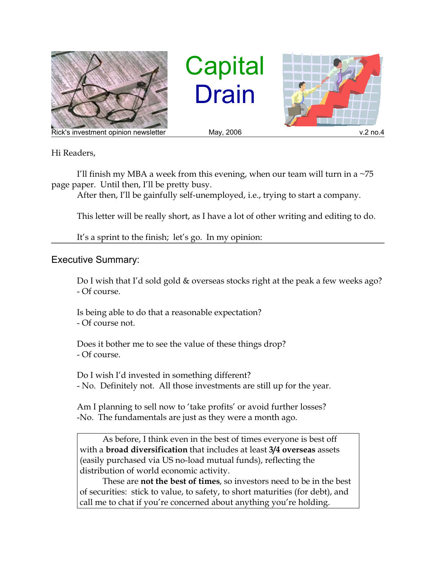

**Capital** Drain



Hi Readers,

I'll finish my MBA a week from this evening, when our team will turn in a  $\sim$ 75 page paper. Until then, I'll be pretty busy.

After then, I'll be gainfully self-unemployed, i.e., trying to start a company.

This letter will be really short, as I have a lot of other writing and editing to do.

It's a sprint to the finish; let's go. In my opinion:

## Executive Summary:

Do I wish that I'd sold gold & overseas stocks right at the peak a few weeks ago? - Of course.

Is being able to do that a reasonable expectation? - Of course not.

Does it bother me to see the value of these things drop? - Of course.

Do I wish I'd invested in something different? - No. Definitely not. All those investments are still up for the year.

Am I planning to sell now to 'take profits' or avoid further losses? -No. The fundamentals are just as they were a month ago.

As before, I think even in the best of times everyone is best off with a **broad diversification** that includes at least **3/4 overseas** assets (easily purchased via US no-load mutual funds), reflecting the distribution of world economic activity.

These are **not the best of times**, so investors need to be in the best of securities: stick to value, to safety, to short maturities (for debt), and call me to chat if you're concerned about anything you're holding.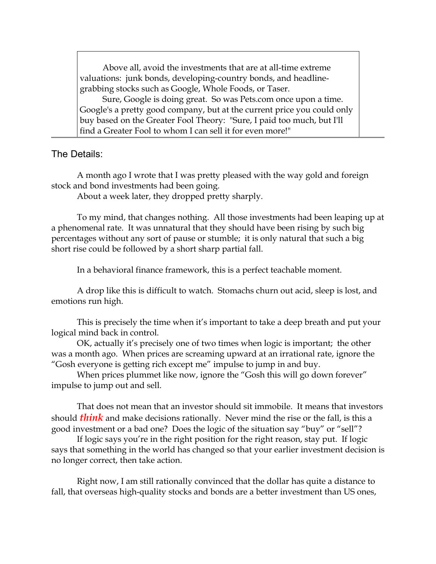Above all, avoid the investments that are at all-time extreme valuations: junk bonds, developing-country bonds, and headlinegrabbing stocks such as Google, Whole Foods, or Taser.

Sure, Google is doing great. So was Pets.com once upon a time. Google's a pretty good company, but at the current price you could only buy based on the Greater Fool Theory: "Sure, I paid too much, but I'll find a Greater Fool to whom I can sell it for even more!"

The Details:

A month ago I wrote that I was pretty pleased with the way gold and foreign stock and bond investments had been going.

About a week later, they dropped pretty sharply.

To my mind, that changes nothing. All those investments had been leaping up at a phenomenal rate. It was unnatural that they should have been rising by such big percentages without any sort of pause or stumble; it is only natural that such a big short rise could be followed by a short sharp partial fall.

In a behavioral finance framework, this is a perfect teachable moment.

A drop like this is difficult to watch. Stomachs churn out acid, sleep is lost, and emotions run high.

This is precisely the time when it's important to take a deep breath and put your logical mind back in control.

OK, actually it's precisely one of two times when logic is important; the other was a month ago. When prices are screaming upward at an irrational rate, ignore the "Gosh everyone is getting rich except me" impulse to jump in and buy.

When prices plummet like now, ignore the "Gosh this will go down forever" impulse to jump out and sell.

That does not mean that an investor should sit immobile. It means that investors should *think* and make decisions rationally. Never mind the rise or the fall, is this a good investment or a bad one? Does the logic of the situation say "buy" or "sell"?

If logic says you're in the right position for the right reason, stay put. If logic says that something in the world has changed so that your earlier investment decision is no longer correct, then take action.

Right now, I am still rationally convinced that the dollar has quite a distance to fall, that overseas high-quality stocks and bonds are a better investment than US ones,